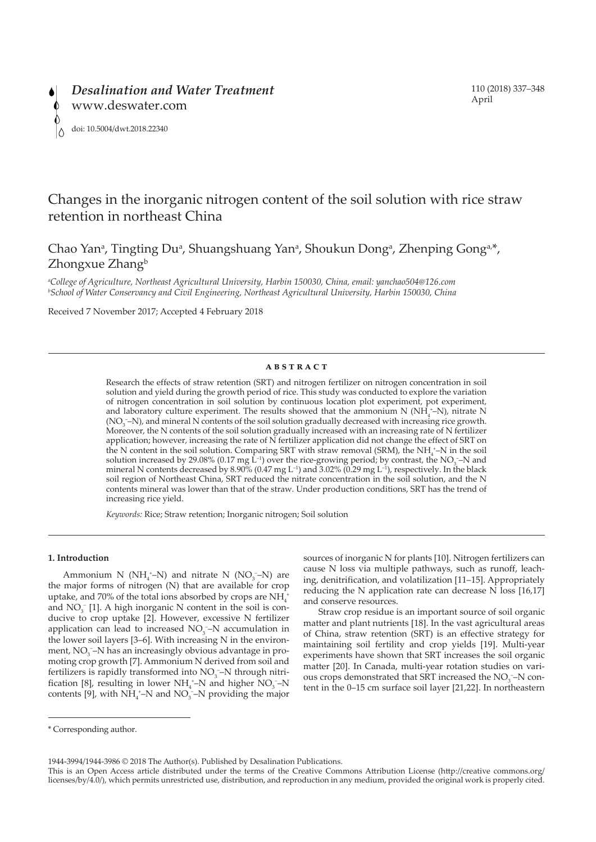

# Changes in the inorganic nitrogen content of the soil solution with rice straw retention in northeast China

Chao Yan<sup>a</sup>, Tingting Du<sup>a</sup>, Shuangshuang Yan<sup>a</sup>, Shoukun Dong<sup>a</sup>, Zhenping Gong<sup>a,\*</sup>, Zhongxue Zhang<sup>b</sup>

*a College of Agriculture, Northeast Agricultural University, Harbin 150030, China, email: yanchao504@126.com b School of Water Conservancy and Civil Engineering, Northeast Agricultural University, Harbin 150030, China*

Received 7 November 2017; Accepted 4 February 2018

### **ABSTRACT**

Research the effects of straw retention (SRT) and nitrogen fertilizer on nitrogen concentration in soil solution and yield during the growth period of rice. This study was conducted to explore the variation of nitrogen concentration in soil solution by continuous location plot experiment, pot experiment, and laboratory culture experiment. The results showed that the ammonium N ( $NH_4^*$ -N), nitrate N (NO<sub>3</sub><sup>-</sup>-N), and mineral N contents of the soil solution gradually decreased with increasing rice growth. Moreover, the N contents of the soil solution gradually increased with an increasing rate of N fertilizer application; however, increasing the rate of N fertilizer application did not change the effect of SRT on the N content in the soil solution. Comparing SRT with straw removal (SRM), the  $NH_4^*$ -N in the soil solution increased by 29.08% (0.17 mg L<sup>-1</sup>) over the rice-growing period; by contrast, the NO<sub>3</sub>-N and mineral N contents decreased by 8.90% (0.47 mg L<sup>-1</sup>) and 3.02% (0.29 mg L<sup>-1</sup>), respectively. In the black soil region of Northeast China, SRT reduced the nitrate concentration in the soil solution, and the N contents mineral was lower than that of the straw. Under production conditions, SRT has the trend of increasing rice yield.

*Keywords:* Rice; Straw retention; Inorganic nitrogen; Soil solution

## **1. Introduction**

Ammonium N ( $NH_4^+$ –N) and nitrate N ( $NO_3^-$ –N) are the major forms of nitrogen (N) that are available for crop uptake, and 70% of the total ions absorbed by crops are  $\mathrm{NH}_4^+$ and  $NO<sub>3</sub>^-$  [1]. A high inorganic N content in the soil is conducive to crop uptake [2]. However, excessive N fertilizer application can lead to increased  $NO<sub>3</sub>$ –N accumulation in the lower soil layers [3–6]. With increasing N in the environment,  $NO_3^-$ –N has an increasingly obvious advantage in promoting crop growth [7]. Ammonium N derived from soil and fertilizers is rapidly transformed into  $NO<sub>3</sub>$ –N through nitrification [8], resulting in lower  $NH_4^+$ –N and higher  $NO_3^-$ –N contents [9], with  $NH_4^+$ –N and  $NO_3^-$ –N providing the major

sources of inorganic N for plants [10]. Nitrogen fertilizers can cause N loss via multiple pathways, such as runoff, leaching, denitrification, and volatilization [11–15]. Appropriately reducing the N application rate can decrease N loss [16,17] and conserve resources.

Straw crop residue is an important source of soil organic matter and plant nutrients [18]. In the vast agricultural areas of China, straw retention (SRT) is an effective strategy for maintaining soil fertility and crop yields [19]. Multi-year experiments have shown that SRT increases the soil organic matter [20]. In Canada, multi-year rotation studies on various crops demonstrated that SRT increased the  $NO<sub>3</sub><sup>-</sup>$ N content in the 0–15 cm surface soil layer [21,22]. In northeastern

1944-3994/1944-3986 © 2018 The Author(s). Published by Desalination Publications.

<sup>\*</sup> Corresponding author.

This is an Open Access article distributed under the terms of the Creative Commons Attribution License (http://creative commons.org/ licenses/by/4.0/), which permits unrestricted use, distribution, and reproduction in any medium, provided the original work is properly cited.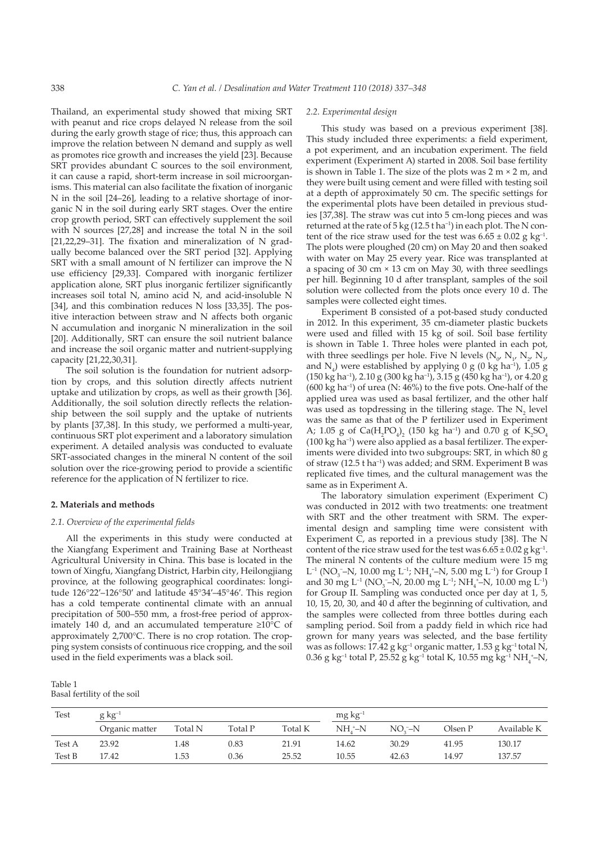Thailand, an experimental study showed that mixing SRT with peanut and rice crops delayed N release from the soil during the early growth stage of rice; thus, this approach can improve the relation between N demand and supply as well as promotes rice growth and increases the yield [23]. Because SRT provides abundant C sources to the soil environment, it can cause a rapid, short-term increase in soil microorganisms. This material can also facilitate the fixation of inorganic N in the soil [24–26], leading to a relative shortage of inorganic N in the soil during early SRT stages. Over the entire crop growth period, SRT can effectively supplement the soil with N sources [27,28] and increase the total N in the soil [21,22,29–31]. The fixation and mineralization of N gradually become balanced over the SRT period [32]. Applying SRT with a small amount of N fertilizer can improve the N use efficiency [29,33]. Compared with inorganic fertilizer application alone, SRT plus inorganic fertilizer significantly increases soil total N, amino acid N, and acid-insoluble N [34], and this combination reduces N loss [33,35]. The positive interaction between straw and N affects both organic N accumulation and inorganic N mineralization in the soil [20]. Additionally, SRT can ensure the soil nutrient balance and increase the soil organic matter and nutrient-supplying capacity [21,22,30,31].

The soil solution is the foundation for nutrient adsorption by crops, and this solution directly affects nutrient uptake and utilization by crops, as well as their growth [36]. Additionally, the soil solution directly reflects the relationship between the soil supply and the uptake of nutrients by plants [37,38]. In this study, we performed a multi-year, continuous SRT plot experiment and a laboratory simulation experiment. A detailed analysis was conducted to evaluate SRT-associated changes in the mineral N content of the soil solution over the rice-growing period to provide a scientific reference for the application of N fertilizer to rice.

#### **2. Materials and methods**

## *2.1. Overview of the experimental fields*

All the experiments in this study were conducted at the Xiangfang Experiment and Training Base at Northeast Agricultural University in China. This base is located in the town of Xingfu, Xiangfang District, Harbin city, Heilongjiang province, at the following geographical coordinates: longitude 126°22′–126°50′ and latitude 45°34′–45°46′. This region has a cold temperate continental climate with an annual precipitation of 500–550 mm, a frost-free period of approximately 140 d, and an accumulated temperature ≥10°C of approximately 2,700°C. There is no crop rotation. The cropping system consists of continuous rice cropping, and the soil used in the field experiments was a black soil.

## Table 1 Basal fertility of the soil

## *2.2. Experimental design*

This study was based on a previous experiment [38]. This study included three experiments: a field experiment, a pot experiment, and an incubation experiment. The field experiment (Experiment A) started in 2008. Soil base fertility is shown in Table 1. The size of the plots was  $2 \text{ m} \times 2 \text{ m}$ , and they were built using cement and were filled with testing soil at a depth of approximately 50 cm. The specific settings for the experimental plots have been detailed in previous studies [37,38]. The straw was cut into 5 cm-long pieces and was returned at the rate of  $5 \text{ kg}$  (12.5 t ha<sup>-1</sup>) in each plot. The N content of the rice straw used for the test was  $6.65 \pm 0.02$  g kg<sup>-1</sup>. The plots were ploughed (20 cm) on May 20 and then soaked with water on May 25 every year. Rice was transplanted at a spacing of 30 cm × 13 cm on May 30, with three seedlings per hill. Beginning 10 d after transplant, samples of the soil solution were collected from the plots once every 10 d. The samples were collected eight times.

Experiment B consisted of a pot-based study conducted in 2012. In this experiment, 35 cm-diameter plastic buckets were used and filled with 15 kg of soil. Soil base fertility is shown in Table 1. Three holes were planted in each pot, with three seedlings per hole. Five N levels ( $N_{0'} N_{1'} N_{2'} N_{3'}$ and  $N_4$ ) were established by applying 0 g (0 kg ha<sup>-1</sup>), 1.05 g (150 kg ha–1), 2.10 g (300 kg ha–1), 3.15 g (450 kg ha–1), or 4.20 g (600 kg ha–1) of urea (N: 46%) to the five pots. One-half of the applied urea was used as basal fertilizer, and the other half was used as topdressing in the tillering stage. The  $N_2$  level was the same as that of the P fertilizer used in Experiment A; 1.05 g of  $Ca(H_2PO_4)_2$  (150 kg ha<sup>-1</sup>) and 0.70 g of  $K_2SO_4$ (100 kg ha–1) were also applied as a basal fertilizer. The experiments were divided into two subgroups: SRT, in which 80 g of straw (12.5 t ha–1) was added; and SRM. Experiment B was replicated five times, and the cultural management was the same as in Experiment A.

The laboratory simulation experiment (Experiment C) was conducted in 2012 with two treatments: one treatment with SRT and the other treatment with SRM. The experimental design and sampling time were consistent with Experiment C, as reported in a previous study [38]. The N content of the rice straw used for the test was  $6.65 \pm 0.02$  g kg<sup>-1</sup>. The mineral N contents of the culture medium were 15 mg L<sup>-1</sup> (NO<sub>3</sub><sup>-</sup>–N, 10.00 mg L<sup>-1</sup>; NH<sub>4</sub><sup>+</sup>–N, 5.00 mg L<sup>-1</sup>) for Group I and 30 mg L<sup>-1</sup> (NO<sub>3</sub><sup>-</sup>–N, 20.00 mg L<sup>-1</sup>; NH<sub>4</sub><sup>+</sup>–N, 10.00 mg L<sup>-1</sup>) for Group II. Sampling was conducted once per day at 1, 5, 10, 15, 20, 30, and 40 d after the beginning of cultivation, and the samples were collected from three bottles during each sampling period. Soil from a paddy field in which rice had grown for many years was selected, and the base fertility was as follows: 17.42 g kg–1 organic matter, 1.53 g kg–1 total N,  $0.36$  g kg<sup>-1</sup> total P, 25.52 g kg<sup>-1</sup> total K, 10.55 mg kg<sup>-1</sup> NH<sub>4</sub><sup>+</sup>-N,

| <b>Test</b> | $g kg^{-1}$    |         |         |         | $mg\,kg^{-1}$      |           |         |             |
|-------------|----------------|---------|---------|---------|--------------------|-----------|---------|-------------|
|             | Organic matter | Total N | Total P | Total K | NH <sub>1</sub> –N | $NOz - N$ | Olsen P | Available K |
| Test A      | 23.92          | l.48    | 0.83    | 21.91   | 14.62              | 30.29     | 41.95   | 130.17      |
| Test B      | 17.42          | . 53    | 0.36    | 25.52   | 10.55              | 42.63     | 14.97   | 137.57      |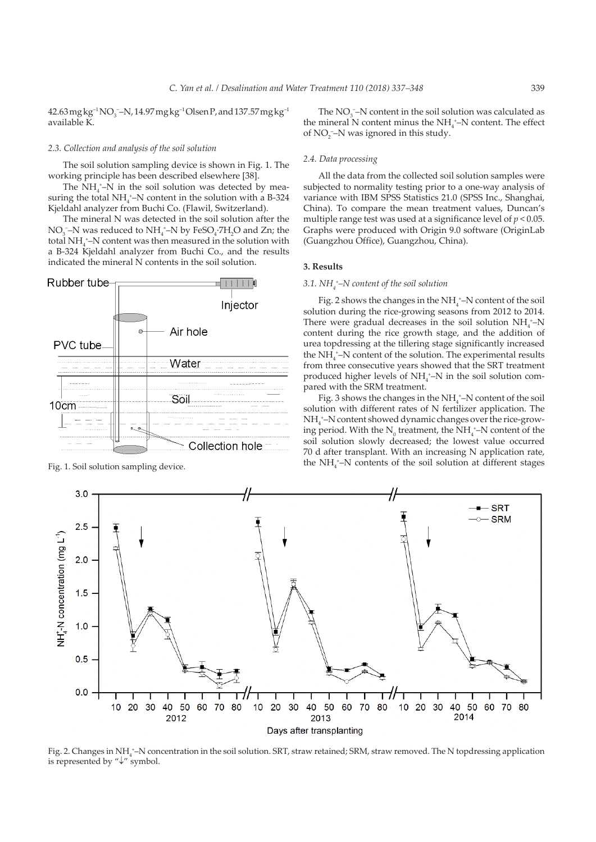$42.63\,\mathrm{mg\,kg\textsuperscript{-1}}$   $\mathrm{NO_3}$  –  $\mathrm{N}$ ,  $14.97\,\mathrm{mg\,kg\textsuperscript{-1}}$   $\mathrm{O}$  lsen P, and  $137.57\,\mathrm{mg\,kg\textsuperscript{-1}}$ available K.

#### *2.3. Collection and analysis of the soil solution*

The soil solution sampling device is shown in Fig. 1. The working principle has been described elsewhere [38].

The  $NH_4^{\ast}-N$  in the soil solution was detected by measuring the total  $NH_4^{\,+}$ -N content in the solution with a B-324 Kjeldahl analyzer from Buchi Co. (Flawil, Switzerland).

The mineral N was detected in the soil solution after the NO<sub>3</sub><sup>-</sup>–N was reduced to NH<sub>4</sub><sup>+</sup>–N by FeSO<sub>4</sub>·7H<sub>2</sub>O and Zn; the total NH<sub>4</sub><sup>+</sup>–N content was then measured in the solution with a B-324 Kjeldahl analyzer from Buchi Co., and the results indicated the mineral N contents in the soil solution.



The  $NO<sub>3</sub>$ –N content in the soil solution was calculated as the mineral N content minus the  $NH<sub>4</sub><sup>+</sup>–N$  content. The effect of  $NO_2^-$ –N was ignored in this study.

#### *2.4. Data processing*

All the data from the collected soil solution samples were subjected to normality testing prior to a one-way analysis of variance with IBM SPSS Statistics 21.0 (SPSS Inc., Shanghai, China). To compare the mean treatment values, Duncan's multiple range test was used at a significance level of  $p < 0.05$ . Graphs were produced with Origin 9.0 software (OriginLab (Guangzhou Office), Guangzhou, China).

#### **3. Results**

# *3.1. NH4 + –N content of the soil solution*

Fig. 2 shows the changes in the  $NH<sub>4</sub><sup>+</sup>-N$  content of the soil solution during the rice-growing seasons from 2012 to 2014. There were gradual decreases in the soil solution  $NH_4^+$ -N content during the rice growth stage, and the addition of urea topdressing at the tillering stage significantly increased the  $NH_i^+$ –N content of the solution. The experimental results from three consecutive years showed that the SRT treatment produced higher levels of  $NH_4^+$ -N in the soil solution compared with the SRM treatment.

Fig. 3 shows the changes in the  $NH<sub>4</sub><sup>+</sup>-N$  content of the soil solution with different rates of N fertilizer application. The NH4 + –N content showed dynamic changes over the rice-growing period. With the  $N_0$  treatment, the  $NH_4^{\,+}$ -N content of the soil solution slowly decreased; the lowest value occurred 70 d after transplant. With an increasing N application rate, Fig. 1. Soil solution sampling device.  $\mathsf{HH}_{4}^*$ -N contents of the soil solution at different stages



Fig. 2. Changes in NH<sub>4</sub>\*–N concentration in the soil solution. SRT, straw retained; SRM, straw removed. The N topdressing application is represented by "↓" symbol.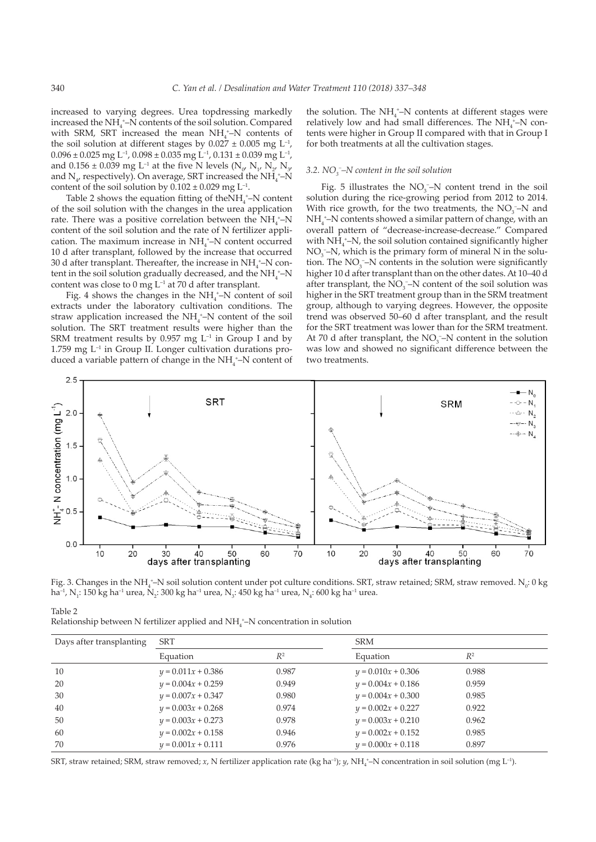increased to varying degrees. Urea topdressing markedly increased the NH<sub>4</sub><sup>+</sup>-N contents of the soil solution. Compared with SRM, SRT increased the mean  $NH_4^+$ -N contents of the soil solution at different stages by  $0.027 \pm 0.005$  mg L<sup>-1</sup>,  $0.096 \pm 0.025$  mg L<sup>-1</sup>,  $0.098 \pm 0.035$  mg L<sup>-1</sup>,  $0.131 \pm 0.039$  mg L<sup>-1</sup>, and  $0.156 \pm 0.039$  mg L<sup>-1</sup> at the five N levels (N<sub>o</sub>, N<sub>1</sub>, N<sub>2</sub>, N<sub>3</sub>, and  $N_{\psi}$  respectively). On average, SRT increased the NH<sub>4</sub><sup>+</sup>-N content of the soil solution by  $0.102 \pm 0.029$  mg L<sup>-1</sup>.

Table 2 shows the equation fitting of the  $NH_4^+$ –N content of the soil solution with the changes in the urea application rate. There was a positive correlation between the  $NH_4^{\,+}N$ content of the soil solution and the rate of N fertilizer application. The maximum increase in  $NH_4^+$ -N content occurred 10 d after transplant, followed by the increase that occurred 30 d after transplant. Thereafter, the increase in  $NH_4^{\,+}$ –N content in the soil solution gradually decreased, and the  $NH_4^+$ –N content was close to  $0 \text{ mg } L^{-1}$  at  $70$  d after transplant.

Fig. 4 shows the changes in the  $NH<sub>4</sub><sup>+</sup>-N$  content of soil extracts under the laboratory cultivation conditions. The straw application increased the NH<sub>4</sub><sup>+</sup>-N content of the soil solution. The SRT treatment results were higher than the SRM treatment results by 0.957 mg  $L^{-1}$  in Group I and by 1.759 mg  $L^{-1}$  in Group II. Longer cultivation durations produced a variable pattern of change in the  $NH_4^+$ -N content of

the solution. The  $NH_4^+$ -N contents at different stages were relatively low and had small differences. The  $NH_4^+$ -N contents were higher in Group II compared with that in Group I for both treatments at all the cultivation stages.

# *3.2. NO3 − –N content in the soil solution*

Fig. 5 illustrates the  $NO<sub>3</sub>$ –N content trend in the soil solution during the rice-growing period from 2012 to 2014. With rice growth, for the two treatments, the  $NO<sub>3</sub><sup>-</sup>-N$  and  $NH_4^+$ –N contents showed a similar pattern of change, with an overall pattern of "decrease-increase-decrease." Compared with  $NH<sub>4</sub>$ <sup>+</sup>-N, the soil solution contained significantly higher  $NO<sub>3</sub>$ –N, which is the primary form of mineral N in the solution. The  $NO_3^-$ –N contents in the solution were significantly higher 10 d after transplant than on the other dates. At 10–40 d after transplant, the  $NO_3^-$ -N content of the soil solution was higher in the SRT treatment group than in the SRM treatment group, although to varying degrees. However, the opposite trend was observed 50–60 d after transplant, and the result for the SRT treatment was lower than for the SRM treatment. At 70 d after transplant, the  $NO<sub>3</sub>$ <sup>-</sup> $N$  content in the solution was low and showed no significant difference between the two treatments.



Fig. 3. Changes in the NH $_4^{\ast}$ –N soil solution content under pot culture conditions. SRT, straw retained; SRM, straw removed. N $_{\rm o}$ : 0 kg ha<sup>-1</sup>, N<sub>1</sub>: 150 kg ha<sup>-1</sup> urea, N<sub>2</sub>: 300 kg ha<sup>-1</sup> urea, N<sub>3</sub>: 450 kg ha<sup>-1</sup> urea, N<sub>4</sub>: 600 kg ha<sup>-1</sup> urea.

| Table 2 |                                                                                     |  |  |
|---------|-------------------------------------------------------------------------------------|--|--|
|         | Relationship between N fertilizer applied and $NH_4^*$ –N concentration in solution |  |  |

| Days after transplanting | SRT                  |       | <b>SRM</b>           |       |  |  |
|--------------------------|----------------------|-------|----------------------|-------|--|--|
|                          | Equation             | $R^2$ | Equation             | $R^2$ |  |  |
| 10                       | $y = 0.011x + 0.386$ | 0.987 | $y = 0.010x + 0.306$ | 0.988 |  |  |
| 20                       | $y = 0.004x + 0.259$ | 0.949 | $y = 0.004x + 0.186$ | 0.959 |  |  |
| 30                       | $y = 0.007x + 0.347$ | 0.980 | $y = 0.004x + 0.300$ | 0.985 |  |  |
| 40                       | $y = 0.003x + 0.268$ | 0.974 | $y = 0.002x + 0.227$ | 0.922 |  |  |
| 50                       | $y = 0.003x + 0.273$ | 0.978 | $y = 0.003x + 0.210$ | 0.962 |  |  |
| 60                       | $y = 0.002x + 0.158$ | 0.946 | $y = 0.002x + 0.152$ | 0.985 |  |  |
| 70                       | $y = 0.001x + 0.111$ | 0.976 | $y = 0.000x + 0.118$ | 0.897 |  |  |

SRT, straw retained; SRM, straw removed; *x*, N fertilizer application rate (kg ha<sup>-1</sup>); *y,* NH<sub>4</sub>\*-N concentration in soil solution (mg L<sup>-1</sup>).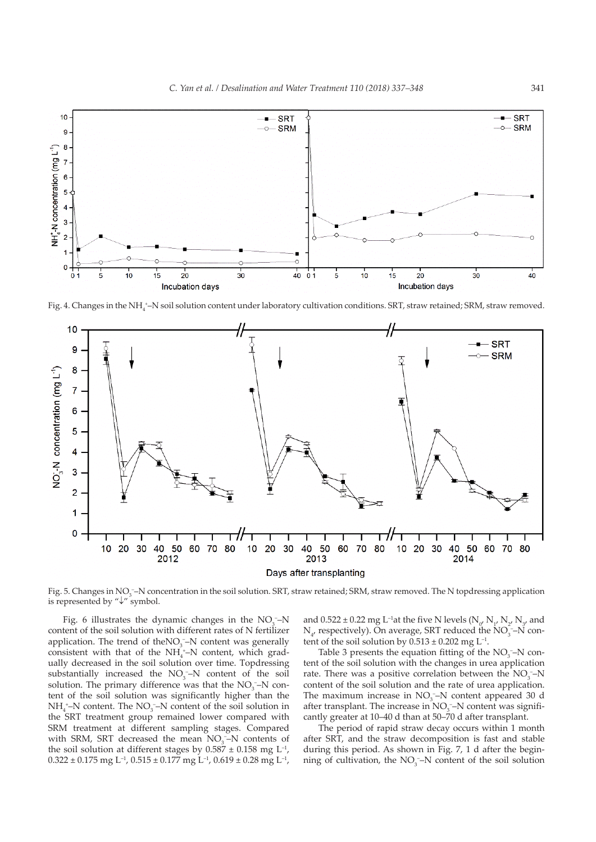

Fig. 4. Changes in the NH $_4^{\ast}-$ N soil solution content under laboratory cultivation conditions. SRT, straw retained; SRM, straw removed.



Fig. 5. Changes in NO<sub>3</sub>--N concentration in the soil solution. SRT, straw retained; SRM, straw removed. The N topdressing application is represented by "↓" symbol.

Fig. 6 illustrates the dynamic changes in the  $NO<sub>3</sub>$ -N content of the soil solution with different rates of N fertilizer application. The trend of the $NO<sub>3</sub>$ –N content was generally consistent with that of the  $NH_4^+$ –N content, which gradually decreased in the soil solution over time. Topdressing substantially increased the  $NO<sub>3</sub>$ <sup>-</sup>-N content of the soil solution. The primary difference was that the  $NO<sub>3</sub><sup>-</sup>$ N content of the soil solution was significantly higher than the  $NH_4^+$ –N content. The  $NO_3^-$ –N content of the soil solution in the SRT treatment group remained lower compared with SRM treatment at different sampling stages. Compared with SRM, SRT decreased the mean  $NO<sub>3</sub>$ –N contents of the soil solution at different stages by  $0.587 \pm 0.158$  mg L<sup>-1</sup>,  $0.322 \pm 0.175$  mg L<sup>-1</sup>,  $0.515 \pm 0.177$  mg L<sup>-1</sup>,  $0.619 \pm 0.28$  mg L<sup>-1</sup>,

and  $0.522 \pm 0.22$  mg L<sup>-1</sup>at the five N levels (N<sub>o</sub>, N<sub>1</sub>, N<sub>2</sub>, N<sub>3</sub>, and  $N_{\mu}$  respectively). On average, SRT reduced the  $NO_{3}^{-}$ -N content of the soil solution by  $0.513 \pm 0.202$  mg L<sup>-1</sup>.

Table 3 presents the equation fitting of the  $NO<sub>3</sub>$ –N content of the soil solution with the changes in urea application rate. There was a positive correlation between the  $NO<sub>3</sub>$ - $N$ content of the soil solution and the rate of urea application. The maximum increase in  $NO<sub>3</sub>$ –N content appeared 30 d after transplant. The increase in  $NO<sub>3</sub>$ –N content was significantly greater at 10–40 d than at 50–70 d after transplant.

The period of rapid straw decay occurs within 1 month after SRT, and the straw decomposition is fast and stable during this period. As shown in Fig. 7, 1 d after the beginning of cultivation, the  $NO<sub>3</sub><sup>-</sup>-N$  content of the soil solution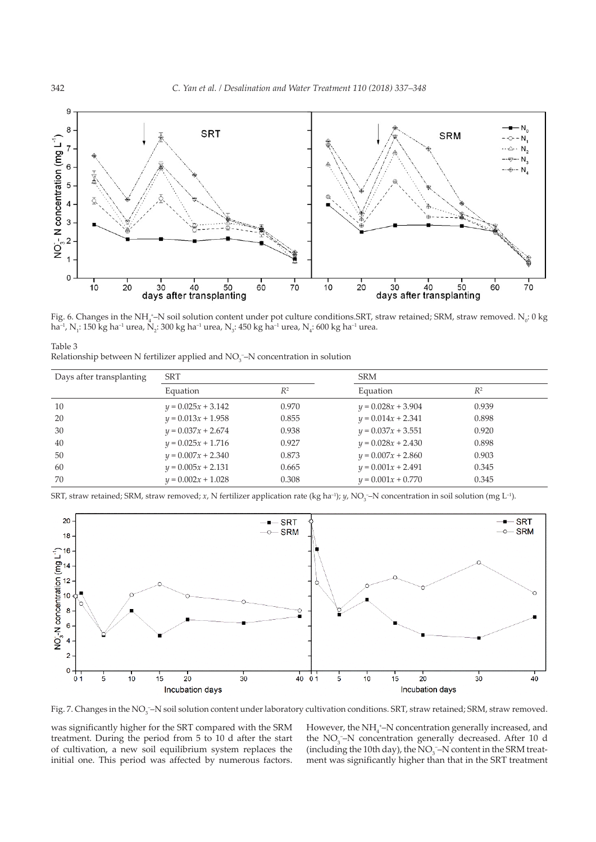

Fig. 6. Changes in the NH<sub>4</sub><sup>+</sup>–N soil solution content under pot culture conditions.SRT, straw retained; SRM, straw removed. N<sub>0</sub>: 0 kg ha<sup>-1</sup>, N<sub>1</sub>: 150 kg ha<sup>-1</sup> urea, N<sub>2</sub>: 300 kg ha<sup>-1</sup> urea, N<sub>3</sub>: 450 kg ha<sup>-1</sup> urea, N<sub>4</sub>: 600 kg ha<sup>-1</sup> urea.

| Table 3                                                                          |  |  |
|----------------------------------------------------------------------------------|--|--|
| Relationship between N fertilizer applied and $NO3$ -N concentration in solution |  |  |

| Days after transplanting | SRT                  |       | <b>SRM</b>           |       |  |
|--------------------------|----------------------|-------|----------------------|-------|--|
|                          | Equation             | $R^2$ | Equation             | $R^2$ |  |
| 10                       | $y = 0.025x + 3.142$ | 0.970 | $y = 0.028x + 3.904$ | 0.939 |  |
| 20                       | $y = 0.013x + 1.958$ | 0.855 | $y = 0.014x + 2.341$ | 0.898 |  |
| 30                       | $y = 0.037x + 2.674$ | 0.938 | $y = 0.037x + 3.551$ | 0.920 |  |
| 40                       | $y = 0.025x + 1.716$ | 0.927 | $y = 0.028x + 2.430$ | 0.898 |  |
| 50                       | $y = 0.007x + 2.340$ | 0.873 | $y = 0.007x + 2.860$ | 0.903 |  |
| 60                       | $y = 0.005x + 2.131$ | 0.665 | $y = 0.001x + 2.491$ | 0.345 |  |
| 70                       | $y = 0.002x + 1.028$ | 0.308 | $y = 0.001x + 0.770$ | 0.345 |  |

SRT, straw retained; SRM, straw removed; *x*, N fertilizer application rate (kg ha<sup>-1</sup>); *y,* NO<sub>3</sub>-N concentration in soil solution (mg L<sup>-1</sup>).



Fig. 7. Changes in the NO<sub>3</sub>–N soil solution content under laboratory cultivation conditions. SRT, straw retained; SRM, straw removed.

was significantly higher for the SRT compared with the SRM treatment. During the period from 5 to 10 d after the start of cultivation, a new soil equilibrium system replaces the initial one. This period was affected by numerous factors.

However, the  $NH_{4}^{\ +}-N$  concentration generally increased, and the NO<sub>3</sub><sup>−</sup>N concentration generally decreased. After 10 d (including the 10th day), the  $NO<sub>3</sub>$ -N content in the SRM treatment was significantly higher than that in the SRT treatment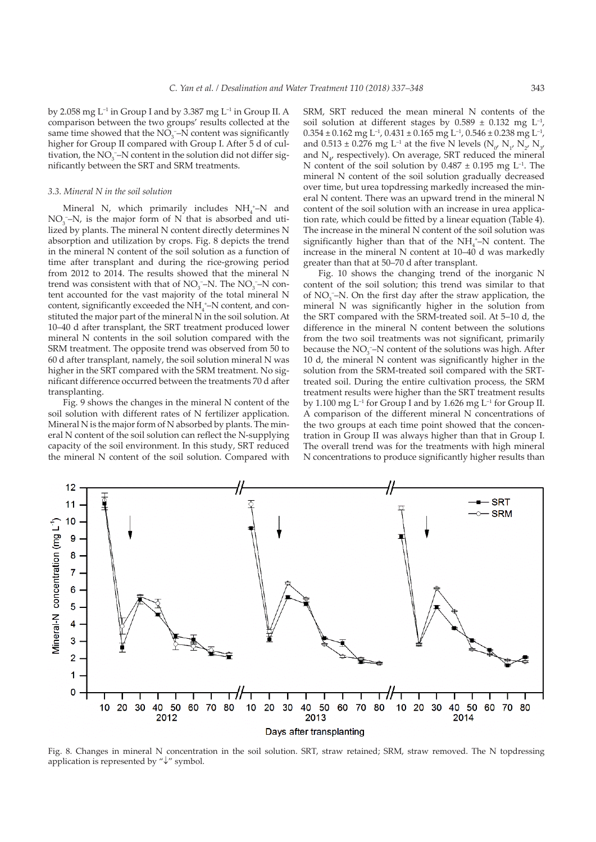by 2.058 mg  $L^{-1}$  in Group I and by 3.387 mg  $L^{-1}$  in Group II. A comparison between the two groups' results collected at the same time showed that the  $NO<sub>3</sub>$ –N content was significantly higher for Group II compared with Group I. After 5 d of cultivation, the  $NO_3^-$ –N content in the solution did not differ significantly between the SRT and SRM treatments.

## *3.3. Mineral N in the soil solution*

Mineral N, which primarily includes  $NH_4^+$ -N and  $NO<sub>3</sub>$  –N, is the major form of N that is absorbed and utilized by plants. The mineral N content directly determines N absorption and utilization by crops. Fig. 8 depicts the trend in the mineral N content of the soil solution as a function of time after transplant and during the rice-growing period from 2012 to 2014. The results showed that the mineral N trend was consistent with that of  $NO<sub>3</sub>$ –N. The  $NO<sub>3</sub>$ –N content accounted for the vast majority of the total mineral N content, significantly exceeded the  $NH<sub>4</sub><sup>+</sup>-N$  content, and constituted the major part of the mineral N in the soil solution. At 10–40 d after transplant, the SRT treatment produced lower mineral N contents in the soil solution compared with the SRM treatment. The opposite trend was observed from 50 to 60 d after transplant, namely, the soil solution mineral N was higher in the SRT compared with the SRM treatment. No significant difference occurred between the treatments 70 d after transplanting.

Fig. 9 shows the changes in the mineral N content of the soil solution with different rates of N fertilizer application. Mineral N is the major form of N absorbed by plants. The mineral N content of the soil solution can reflect the N-supplying capacity of the soil environment. In this study, SRT reduced the mineral N content of the soil solution. Compared with

SRM, SRT reduced the mean mineral N contents of the soil solution at different stages by  $0.589 \pm 0.132$  mg L<sup>-1</sup>,  $0.354 \pm 0.162$  mg L<sup>-1</sup>,  $0.431 \pm 0.165$  mg L<sup>-1</sup>,  $0.546 \pm 0.238$  mg L<sup>-1</sup>, and  $0.513 \pm 0.276$  mg L<sup>-1</sup> at the five N levels (N<sub>0</sub>, N<sub>1</sub>, N<sub>2</sub>, N<sub>3</sub>, and  $N_{\mu}$  respectively). On average, SRT reduced the mineral N content of the soil solution by  $0.487 \pm 0.195$  mg L<sup>-1</sup>. The mineral N content of the soil solution gradually decreased over time, but urea topdressing markedly increased the mineral N content. There was an upward trend in the mineral N content of the soil solution with an increase in urea application rate, which could be fitted by a linear equation (Table 4). The increase in the mineral N content of the soil solution was significantly higher than that of the  $NH_4^+$ –N content. The increase in the mineral N content at 10–40 d was markedly greater than that at 50–70 d after transplant.

Fig. 10 shows the changing trend of the inorganic N content of the soil solution; this trend was similar to that of NO<sub>3</sub><sup>-</sup>−N. On the first day after the straw application, the mineral N was significantly higher in the solution from the SRT compared with the SRM-treated soil. At 5–10 d, the difference in the mineral N content between the solutions from the two soil treatments was not significant, primarily because the  $NO_3^-$ -N content of the solutions was high. After 10 d, the mineral N content was significantly higher in the solution from the SRM-treated soil compared with the SRTtreated soil. During the entire cultivation process, the SRM treatment results were higher than the SRT treatment results by 1.100 mg  $L^{-1}$  for Group I and by 1.626 mg  $L^{-1}$  for Group II. A comparison of the different mineral N concentrations of the two groups at each time point showed that the concentration in Group II was always higher than that in Group I. The overall trend was for the treatments with high mineral N concentrations to produce significantly higher results than



Fig. 8. Changes in mineral N concentration in the soil solution. SRT, straw retained; SRM, straw removed. The N topdressing application is represented by "↓" symbol.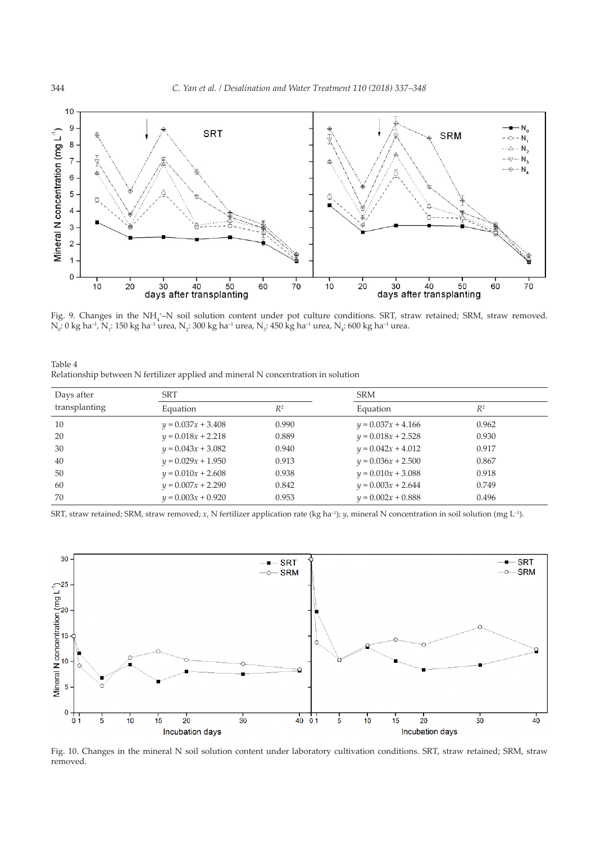

Fig. 9. Changes in the NH<sub>4</sub>-N soil solution content under pot culture conditions. SRT, straw retained; SRM, straw removed.  $\rm N_{_0}:$  0 kg ha $^{\rm -1}$ ,  $\rm N_{_1}:$  150 kg ha $^{\rm -1}$  urea,  $\rm N_{_2}:$  300 kg ha $^{\rm -1}$  urea,  $\rm N_{_3}:$  450 kg ha $^{\rm -1}$  urea,  $\rm N_{_4}:$  600 kg ha $^{\rm -1}$  urea.

| Table 4                                                                           |  |  |  |  |
|-----------------------------------------------------------------------------------|--|--|--|--|
| Relationship between N fertilizer applied and mineral N concentration in solution |  |  |  |  |

| Days after    | <b>SRT</b>           |       | <b>SRM</b>           |       |  |
|---------------|----------------------|-------|----------------------|-------|--|
| transplanting | Equation             | $R^2$ | Equation             | $R^2$ |  |
| 10            | $y = 0.037x + 3.408$ | 0.990 | $y = 0.037x + 4.166$ | 0.962 |  |
| 20            | $y = 0.018x + 2.218$ | 0.889 | $y = 0.018x + 2.528$ | 0.930 |  |
| 30            | $y = 0.043x + 3.082$ | 0.940 | $y = 0.042x + 4.012$ | 0.917 |  |
| 40            | $y = 0.029x + 1.950$ | 0.913 | $y = 0.036x + 2.500$ | 0.867 |  |
| 50            | $y = 0.010x + 2.608$ | 0.938 | $y = 0.010x + 3.088$ | 0.918 |  |
| 60            | $y = 0.007x + 2.290$ | 0.842 | $y = 0.003x + 2.644$ | 0.749 |  |
| 70            | $y = 0.003x + 0.920$ | 0.953 | $y = 0.002x + 0.888$ | 0.496 |  |

SRT, straw retained; SRM, straw removed; *x*, N fertilizer application rate (kg ha<sup>-1</sup>); *y*, mineral N concentration in soil solution (mg L<sup>-1</sup>).



Fig. 10. Changes in the mineral N soil solution content under laboratory cultivation conditions. SRT, straw retained; SRM, straw removed.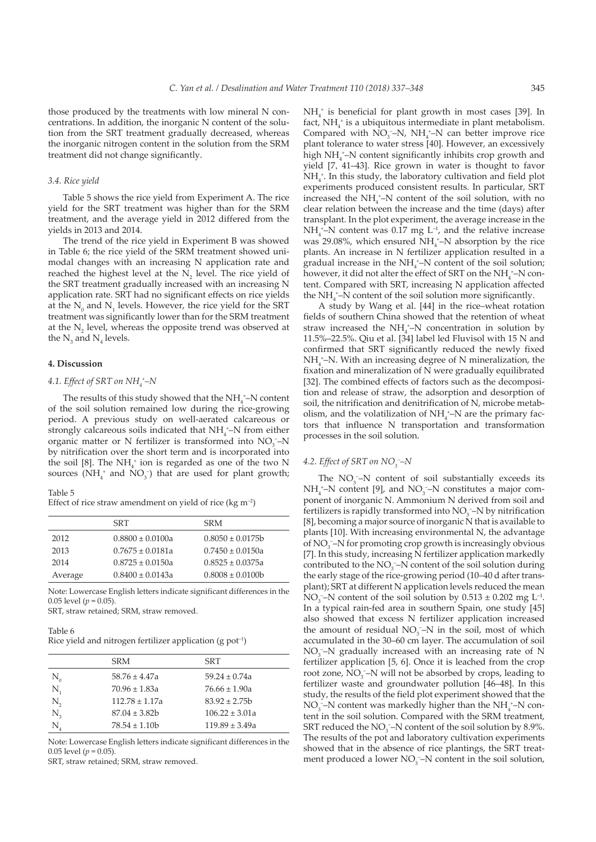those produced by the treatments with low mineral N concentrations. In addition, the inorganic N content of the solution from the SRT treatment gradually decreased, whereas the inorganic nitrogen content in the solution from the SRM treatment did not change significantly.

#### *3.4. Rice yield*

Table 5 shows the rice yield from Experiment A. The rice yield for the SRT treatment was higher than for the SRM treatment, and the average yield in 2012 differed from the yields in 2013 and 2014.

The trend of the rice yield in Experiment B was showed in Table 6; the rice yield of the SRM treatment showed unimodal changes with an increasing N application rate and reached the highest level at the  $N_2$  level. The rice yield of the SRT treatment gradually increased with an increasing N application rate. SRT had no significant effects on rice yields at the  $N_0$  and  $N_1$  levels. However, the rice yield for the SRT treatment was significantly lower than for the SRM treatment at the  $N_2$  level, whereas the opposite trend was observed at the  $N_3$  and  $N_4$  levels.

#### **4. Discussion**

# *4.1. Effect of SRT on NH4 + –N*

The results of this study showed that the  $NH_4^+$ –N content of the soil solution remained low during the rice-growing period. A previous study on well-aerated calcareous or strongly calcareous soils indicated that  $NH_4^{\text{-}}$ N from either organic matter or N fertilizer is transformed into  $NO<sub>3</sub>$ <sup>-</sup> $N$ by nitrification over the short term and is incorporated into the soil [8]. The  $NH_4^+$  ion is regarded as one of the two N sources ( $NH_4^+$  and  $NO_3^-$ ) that are used for plant growth;

#### Table 5

Effect of rice straw amendment on yield of rice (kg  $m^{-2}$ )

|         | SRT                  | <b>SRM</b>            |
|---------|----------------------|-----------------------|
| 2012    | $0.8800 \pm 0.0100a$ | $0.8050 \pm 0.0175$ b |
| 2013    | $0.7675 \pm 0.0181a$ | $0.7450 \pm 0.0150a$  |
| 2014    | $0.8725 \pm 0.0150a$ | $0.8525 \pm 0.0375a$  |
| Average | $0.8400 \pm 0.0143a$ | $0.8008 \pm 0.0100b$  |

Note: Lowercase English letters indicate significant differences in the 0.05 level ( $p = 0.05$ )

SRT, straw retained; SRM, straw removed.

#### Table 6

Rice yield and nitrogen fertilizer application  $(g$  pot<sup>-1</sup>)

|                                | <b>SRM</b>         | <b>SRT</b>         |
|--------------------------------|--------------------|--------------------|
| $\rm N_{\scriptscriptstyle o}$ | $58.76 \pm 4.47a$  | $59.24 \pm 0.74a$  |
| $N_{\rm i}$                    | $70.96 \pm 1.83a$  | $76.66 \pm 1.90a$  |
| N,                             | $112.78 \pm 1.17a$ | $83.92 \pm 2.75$   |
| $N_{\rm a}$                    | $87.04 \pm 3.82$   | $106.22 \pm 3.01a$ |
| N.                             | $78.54 \pm 1.10$   | $119.89 \pm 3.49a$ |

Note: Lowercase English letters indicate significant differences in the 0.05 level  $(p = 0.05)$ 

SRT, straw retained; SRM, straw removed.

 $NH<sub>4</sub><sup>+</sup>$  is beneficial for plant growth in most cases [39]. In fact,  $NH<sub>4</sub>$ <sup>+</sup> is a ubiquitous intermediate in plant metabolism. Compared with  $NO<sub>3</sub>$ –N,  $NH<sub>4</sub>$ –N can better improve rice plant tolerance to water stress [40]. However, an excessively high NH<sub>4</sub><sup>+</sup>-N content significantly inhibits crop growth and yield [7, 41–43]. Rice grown in water is thought to favor NH<sub>4</sub><sup>+</sup>. In this study, the laboratory cultivation and field plot experiments produced consistent results. In particular, SRT increased the  $NH_4^+$ -N content of the soil solution, with no clear relation between the increase and the time (days) after transplant. In the plot experiment, the average increase in the  $NH_4^+$ –N content was 0.17 mg  $L^{-1}$ , and the relative increase was 29.08%, which ensured  $NH<sub>4</sub>$ <sup>+</sup>-N absorption by the rice plants. An increase in N fertilizer application resulted in a gradual increase in the  $NH_4^+$ –N content of the soil solution; however, it did not alter the effect of SRT on the  $\mathrm{NH}_4^{\ast-}\mathrm{N}$  content. Compared with SRT, increasing N application affected the  $NH<sub>4</sub><sup>+</sup>-N$  content of the soil solution more significantly.

A study by Wang et al. [44] in the rice–wheat rotation fields of southern China showed that the retention of wheat straw increased the  $NH_4^+$ -N concentration in solution by 11.5%–22.5%. Qiu et al. [34] label led Fluvisol with 15 N and confirmed that SRT significantly reduced the newly fixed  $NH<sub>4</sub><sup>+</sup>-N$ . With an increasing degree of N mineralization, the fixation and mineralization of N were gradually equilibrated [32]. The combined effects of factors such as the decomposition and release of straw, the adsorption and desorption of soil, the nitrification and denitrification of N, microbe metabolism, and the volatilization of  $NH_4^+$ –N are the primary factors that influence N transportation and transformation processes in the soil solution.

# *4.2. Effect of SRT on NO3 – –N*

The  $NO<sub>3</sub><sup>-</sup>-N$  content of soil substantially exceeds its  $NH_4^+$ –N content [9], and NO<sub>3</sub>–N constitutes a major component of inorganic N. Ammonium N derived from soil and fertilizers is rapidly transformed into  $NO<sub>3</sub>$ –N by nitrification [8], becoming a major source of inorganic N that is available to plants [10]. With increasing environmental N, the advantage of  $NO<sub>3</sub><sup>-</sup>$  N for promoting crop growth is increasingly obvious [7]. In this study, increasing N fertilizer application markedly contributed to the  $NO_3^-$ -N content of the soil solution during the early stage of the rice-growing period (10–40 d after transplant); SRT at different N application levels reduced the mean NO<sub>3</sub><sup>-</sup>-N content of the soil solution by  $0.513 \pm 0.202$  mg L<sup>-1</sup>. In a typical rain-fed area in southern Spain, one study [45] also showed that excess N fertilizer application increased the amount of residual  $NO<sub>3</sub> - N$  in the soil, most of which accumulated in the 30–60 cm layer. The accumulation of soil  $NO<sub>3</sub>$  –N gradually increased with an increasing rate of N fertilizer application [5, 6]. Once it is leached from the crop root zone,  $NO_3^-$ –N will not be absorbed by crops, leading to fertilizer waste and groundwater pollution [46–48]. In this study, the results of the field plot experiment showed that the NO<sub>3</sub><sup>-</sup>-N content was markedly higher than the NH<sub>4</sub><sup>+</sup>-N content in the soil solution. Compared with the SRM treatment, SRT reduced the  $NO_3^-$ –N content of the soil solution by 8.9%. The results of the pot and laboratory cultivation experiments showed that in the absence of rice plantings, the SRT treatment produced a lower  $NO<sub>3</sub><sup>-</sup>-N$  content in the soil solution,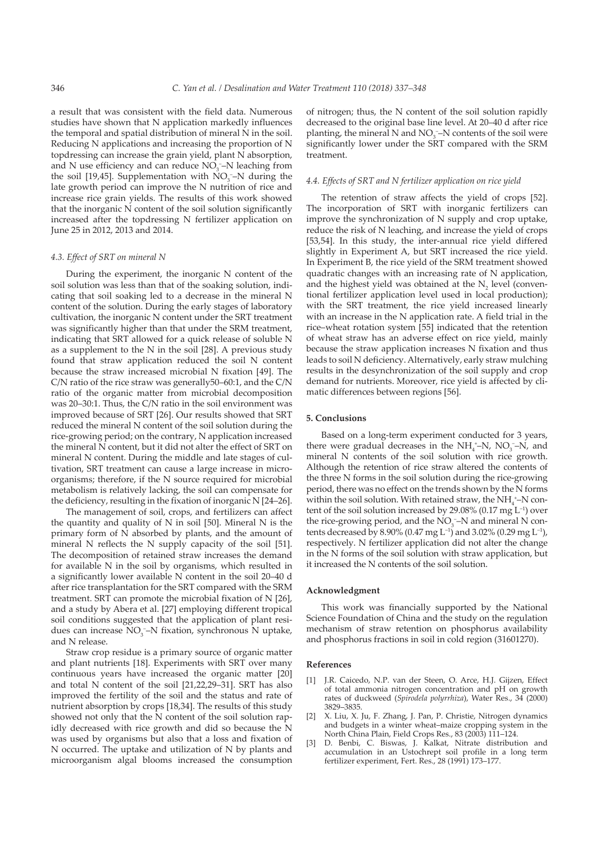a result that was consistent with the field data. Numerous studies have shown that N application markedly influences the temporal and spatial distribution of mineral N in the soil. Reducing N applications and increasing the proportion of N topdressing can increase the grain yield, plant N absorption, and N use efficiency and can reduce  $NO<sub>3</sub><sup>-</sup>-N$  leaching from the soil [19,45]. Supplementation with  $NO<sub>3</sub>$ –N during the late growth period can improve the N nutrition of rice and increase rice grain yields. The results of this work showed that the inorganic N content of the soil solution significantly increased after the topdressing N fertilizer application on June 25 in 2012, 2013 and 2014.

## *4.3. Effect of SRT on mineral N*

During the experiment, the inorganic N content of the soil solution was less than that of the soaking solution, indicating that soil soaking led to a decrease in the mineral N content of the solution. During the early stages of laboratory cultivation, the inorganic N content under the SRT treatment was significantly higher than that under the SRM treatment, indicating that SRT allowed for a quick release of soluble N as a supplement to the N in the soil [28]. A previous study found that straw application reduced the soil N content because the straw increased microbial N fixation [49]. The C/N ratio of the rice straw was generally50–60:1, and the C/N ratio of the organic matter from microbial decomposition was 20–30:1. Thus, the C/N ratio in the soil environment was improved because of SRT [26]. Our results showed that SRT reduced the mineral N content of the soil solution during the rice-growing period; on the contrary, N application increased the mineral N content, but it did not alter the effect of SRT on mineral N content. During the middle and late stages of cultivation, SRT treatment can cause a large increase in microorganisms; therefore, if the N source required for microbial metabolism is relatively lacking, the soil can compensate for the deficiency, resulting in the fixation of inorganic N [24–26].

The management of soil, crops, and fertilizers can affect the quantity and quality of N in soil [50]. Mineral N is the primary form of N absorbed by plants, and the amount of mineral N reflects the N supply capacity of the soil [51]. The decomposition of retained straw increases the demand for available N in the soil by organisms, which resulted in a significantly lower available N content in the soil 20–40 d after rice transplantation for the SRT compared with the SRM treatment. SRT can promote the microbial fixation of N [26], and a study by Abera et al. [27] employing different tropical soil conditions suggested that the application of plant residues can increase  $NO<sub>3</sub><sup>-</sup>-N$  fixation, synchronous N uptake, and N release.

Straw crop residue is a primary source of organic matter and plant nutrients [18]. Experiments with SRT over many continuous years have increased the organic matter [20] and total N content of the soil [21,22,29–31]. SRT has also improved the fertility of the soil and the status and rate of nutrient absorption by crops [18,34]. The results of this study showed not only that the N content of the soil solution rapidly decreased with rice growth and did so because the N was used by organisms but also that a loss and fixation of N occurred. The uptake and utilization of N by plants and microorganism algal blooms increased the consumption of nitrogen; thus, the N content of the soil solution rapidly decreased to the original base line level. At 20–40 d after rice planting, the mineral  $N$  and  $NO<sub>3</sub>$  – $N$  contents of the soil were significantly lower under the SRT compared with the SRM treatment.

## *4.4. Effects of SRT and N fertilizer application on rice yield*

The retention of straw affects the yield of crops [52]. The incorporation of SRT with inorganic fertilizers can improve the synchronization of N supply and crop uptake, reduce the risk of N leaching, and increase the yield of crops [53,54]. In this study, the inter-annual rice yield differed slightly in Experiment A, but SRT increased the rice yield. In Experiment B, the rice yield of the SRM treatment showed quadratic changes with an increasing rate of N application, and the highest yield was obtained at the  $N_2$  level (conventional fertilizer application level used in local production); with the SRT treatment, the rice yield increased linearly with an increase in the N application rate. A field trial in the rice–wheat rotation system [55] indicated that the retention of wheat straw has an adverse effect on rice yield, mainly because the straw application increases N fixation and thus leads to soil N deficiency. Alternatively, early straw mulching results in the desynchronization of the soil supply and crop demand for nutrients. Moreover, rice yield is affected by climatic differences between regions [56].

#### **5. Conclusions**

Based on a long-term experiment conducted for 3 years, there were gradual decreases in the  $NH_4^+$ -N, NO<sub>3</sub>-N, and mineral N contents of the soil solution with rice growth. Although the retention of rice straw altered the contents of the three N forms in the soil solution during the rice-growing period, there was no effect on the trends shown by the N forms within the soil solution. With retained straw, the  $NH_4^+$ -N content of the soil solution increased by  $29.08\%$  (0.17 mg  $L^{-1}$ ) over the rice-growing period, and the  $NO<sub>3</sub><sup>-</sup>N$  and mineral N contents decreased by 8.90% (0.47 mg L<sup>-1</sup>) and 3.02% (0.29 mg L<sup>-1</sup>), respectively. N fertilizer application did not alter the change in the N forms of the soil solution with straw application, but it increased the N contents of the soil solution.

#### **Acknowledgment**

This work was financially supported by the National Science Foundation of China and the study on the regulation mechanism of straw retention on phosphorus availability and phosphorus fractions in soil in cold region (31601270).

#### **References**

- [1] J.R. Caicedo, N.P. van der Steen, O. Arce, H.J. Gijzen, Effect of total ammonia nitrogen concentration and pH on growth rates of duckweed (*Spirodela polyrrhiza*), Water Res., 34 (2000) 3829–3835.
- [2] X. Liu, X. Ju, F. Zhang, J. Pan, P. Christie, Nitrogen dynamics and budgets in a winter wheat–maize cropping system in the North China Plain, Field Crops Res., 83 (2003) 111–124.
- D. Benbi, C. Biswas, J. Kalkat, Nitrate distribution and accumulation in an Ustochrept soil profile in a long term fertilizer experiment, Fert. Res., 28 (1991) 173–177.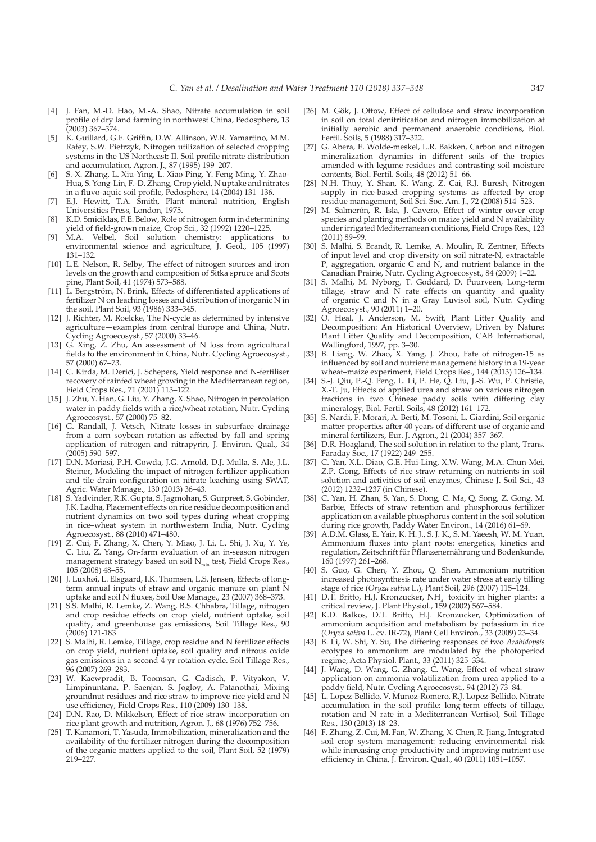- [4] J. Fan, M.-D. Hao, M.-A. Shao, Nitrate accumulation in soil profile of dry land farming in northwest China, Pedosphere, 13 (2003) 367–374.
- [5] K. Guillard, G.F. Griffin, D.W. Allinson, W.R. Yamartino, M.M. Rafey, S.W. Pietrzyk, Nitrogen utilization of selected cropping systems in the US Northeast: II. Soil profile nitrate distribution and accumulation, Agron. J., 87 (1995) 199–207.
- [6] S.-X. Zhang, L. Xiu-Ying, L. Xiao-Ping, Y. Feng-Ming, Y. Zhao-Hua, S. Yong-Lin, F.-D. Zhang, Crop yield, N uptake and nitrates in a fluvo-aquic soil profile, Pedosphere, 14 (2004) 131–136.
- [7] E.J. Hewitt, T.A. Smith, Plant mineral nutrition, English Universities Press, London, 1975.
- [8] K.D. Smiciklas, F.E. Below, Role of nitrogen form in determining yield of field-grown maize, Crop Sci., 32 (1992) 1220–1225.
- M.A. Velbel, Soil solution chemistry: applications to environmental science and agriculture, J. Geol., 105 (1997) 131–132.
- [10] L.E. Nelson, R. Selby, The effect of nitrogen sources and iron levels on the growth and composition of Sitka spruce and Scots pine, Plant Soil, 41 (1974) 573–588.
- [11] L. Bergström, N. Brink, Effects of differentiated applications of fertilizer N on leaching losses and distribution of inorganic N in the soil, Plant Soil, 93 (1986) 333–345.
- [12] J. Richter, M. Roelcke, The N-cycle as determined by intensive agriculture—examples from central Europe and China, Nutr. Cycling Agroecosyst., 57 (2000) 33–46.
- [13] G. Xing, Z. Zhu, An assessment of N loss from agricultural fields to the environment in China, Nutr. Cycling Agroecosyst., 57 (2000) 67–73.
- [14] C. Kirda, M. Derici, J. Schepers, Yield response and N-fertiliser recovery of rainfed wheat growing in the Mediterranean region, Field Crops Res., 71 (2001) 113–122.
- [15] J. Zhu, Y. Han, G. Liu, Y. Zhang, X. Shao, Nitrogen in percolation water in paddy fields with a rice/wheat rotation, Nutr. Cycling Agroecosyst., 57 (2000) 75–82.
- [16] G. Randall, J. Vetsch, Nitrate losses in subsurface drainage from a corn–soybean rotation as affected by fall and spring application of nitrogen and nitrapyrin, J. Environ. Qual., 34 (2005) 590–597.
- [17] D.N. Moriasi, P.H. Gowda, J.G. Arnold, D.J. Mulla, S. Ale, J.L. Steiner, Modeling the impact of nitrogen fertilizer application and tile drain configuration on nitrate leaching using SWAT, Agric. Water Manage., 130 (2013) 36–43.
- [18] S. Yadvinder, R.K. Gupta, S. Jagmohan, S. Gurpreet, S. Gobinder, J.K. Ladha, Placement effects on rice residue decomposition and nutrient dynamics on two soil types during wheat cropping in rice–wheat system in northwestern India, Nutr. Cycling Agroecosyst., 88 (2010) 471–480.
- [19] Z. Cui, F. Zhang, X. Chen, Y. Miao, J. Li, L. Shi, J. Xu, Y. Ye, C. Liu, Z. Yang, On-farm evaluation of an in-season nitrogen management strategy based on soil  $N_{min}$  test, Field Crops Res., 105 (2008) 48–55.
- [20] J. Luxhøi, L. Elsgaard, I.K. Thomsen, L.S. Jensen, Effects of longterm annual inputs of straw and organic manure on plant N uptake and soil N fluxes, Soil Use Manage., 23 (2007) 368–373.
- [21] S.S. Malhi, R. Lemke, Z. Wang, B.S. Chhabra, Tillage, nitrogen and crop residue effects on crop yield, nutrient uptake, soil quality, and greenhouse gas emissions, Soil Tillage Res., 90 (2006) 171-183
- [22] S. Malhi, R. Lemke, Tillage, crop residue and N fertilizer effects on crop yield, nutrient uptake, soil quality and nitrous oxide gas emissions in a second 4-yr rotation cycle. Soil Tillage Res., 96 (2007) 269–283.
- [23] W. Kaewpradit, B. Toomsan, G. Cadisch, P. Vityakon, V. Limpinuntana, P. Saenjan, S. Jogloy, A. Patanothai, Mixing groundnut residues and rice straw to improve rice yield and N use efficiency, Field Crops Res., 110 (2009) 130–138.
- [24] D.N. Rao, D. Mikkelsen, Effect of rice straw incorporation on rice plant growth and nutrition, Agron. J., 68 (1976) 752–756.
- [25] T. Kanamori, T. Yasuda, Immobilization, mineralization and the availability of the fertilizer nitrogen during the decomposition of the organic matters applied to the soil, Plant Soil, 52 (1979) 219–227.
- [26] M. Gök, J. Ottow, Effect of cellulose and straw incorporation in soil on total denitrification and nitrogen immobilization at initially aerobic and permanent anaerobic conditions, Biol. Fertil. Soils, 5 (1988) 317–322.
- [27] G. Abera, E. Wolde-meskel, L.R. Bakken, Carbon and nitrogen mineralization dynamics in different soils of the tropics amended with legume residues and contrasting soil moisture contents, Biol. Fertil. Soils, 48 (2012) 51–66.
- [28] N.H. Thuy, Y. Shan, K. Wang, Z. Cai, R.J. Buresh, Nitrogen supply in rice-based cropping systems as affected by crop residue management, Soil Sci. Soc. Am. J., 72 (2008) 514–523.
- [29] M. Salmerón, R. Isla, J. Cavero, Effect of winter cover crop species and planting methods on maize yield and N availability under irrigated Mediterranean conditions, Field Crops Res., 123  $(2011) 89-99.$
- [30] S. Malhi, S. Brandt, R. Lemke, A. Moulin, R. Zentner, Effects of input level and crop diversity on soil nitrate-N, extractable P, aggregation, organic C and N, and nutrient balance in the Canadian Prairie, Nutr. Cycling Agroecosyst., 84 (2009) 1–22.
- [31] S. Malhi, M. Nyborg, T. Goddard, D. Puurveen, Long-term tillage, straw and N rate effects on quantity and quality of organic C and N in a Gray Luvisol soil, Nutr. Cycling Agroecosyst., 90 (2011) 1–20.
- [32] O. Heal, J. Anderson, M. Swift, Plant Litter Quality and Decomposition: An Historical Overview, Driven by Nature: Plant Litter Quality and Decomposition, CAB International, Wallingford, 1997, pp. 3–30.
- [33] B. Liang, W. Zhao, X. Yang, J. Zhou, Fate of nitrogen-15 as influenced by soil and nutrient management history in a 19-year wheat–maize experiment, Field Crops Res., 144 (2013) 126–134.
- [34] S.-J. Qiu, P.-Q. Peng, L. Li, P. He, Q. Liu, J.-S. Wu, P. Christie, X.-T. Ju, Effects of applied urea and straw on various nitrogen fractions in two Chinese paddy soils with differing clay mineralogy, Biol. Fertil. Soils, 48 (2012) 161–172.
- [35] S. Nardi, F. Morari, A. Berti, M. Tosoni, L. Giardini, Soil organic matter properties after 40 years of different use of organic and mineral fertilizers, Eur. J. Agron., 21 (2004) 357–367.
- [36] D.R. Hoagland, The soil solution in relation to the plant, Trans. Faraday Soc., 17 (1922) 249–255.
- [37] C. Yan, X.L. Diao, G.E. Hui-Ling, X.W. Wang, M.A. Chun-Mei, Z.P. Gong, Effects of rice straw returning on nutrients in soil solution and activities of soil enzymes, Chinese J. Soil Sci., 43 (2012) 1232–1237 (in Chinese).
- [38] C. Yan, H. Zhan, S. Yan, S. Dong, C. Ma, Q. Song, Z. Gong, M. Barbie, Effects of straw retention and phosphorous fertilizer application on available phosphorus content in the soil solution during rice growth, Paddy Water Environ., 14 (2016) 61–69.
- [39] A.D.M. Glass, E. Yair, K. H. J., S. J. K., S. M. Yaeesh, W. M. Yuan, Ammonium fluxes into plant roots: energetics, kinetics and regulation, Zeitschrift für Pflanzenernährung und Bodenkunde, 160 (1997) 261–268.
- [40] S. Guo, G. Chen, Y. Zhou, Q. Shen, Ammonium nutrition increased photosynthesis rate under water stress at early tilling stage of rice (*Oryza sativa* L.), Plant Soil, 296 (2007) 115–124.
- [41] D.T. Britto, H.J. Kronzucker, NH<sub>4</sub> toxicity in higher plants: a critical review, J. Plant Physiol., 159 (2002) 567–584.
- [42] K.D. Balkos, D.T. Britto, H.J. Kronzucker, Optimization of ammonium acquisition and metabolism by potassium in rice (*Oryza sativa* L. cv. IR-72), Plant Cell Environ., 33 (2009) 23–34.
- [43] B. Li, W. Shi, Y. Su, The differing responses of two *Arabidopsis* ecotypes to ammonium are modulated by the photoperiod regime, Acta Physiol. Plant., 33 (2011) 325–334.
- [44] J. Wang, D. Wang, G. Zhang, C. Wang, Effect of wheat straw application on ammonia volatilization from urea applied to a paddy field, Nutr. Cycling Agroecosyst., 94 (2012) 73–84.
- [45] L. Lopez-Bellido, V. Munoz-Romero, R.J. Lopez-Bellido, Nitrate accumulation in the soil profile: long-term effects of tillage, rotation and N rate in a Mediterranean Vertisol, Soil Tillage Res., 130 (2013) 18–23.
- [46] F. Zhang, Z. Cui, M. Fan, W. Zhang, X. Chen, R. Jiang, Integrated soil–crop system management: reducing environmental risk while increasing crop productivity and improving nutrient use efficiency in China, J. Environ. Qual., 40 (2011) 1051–1057.